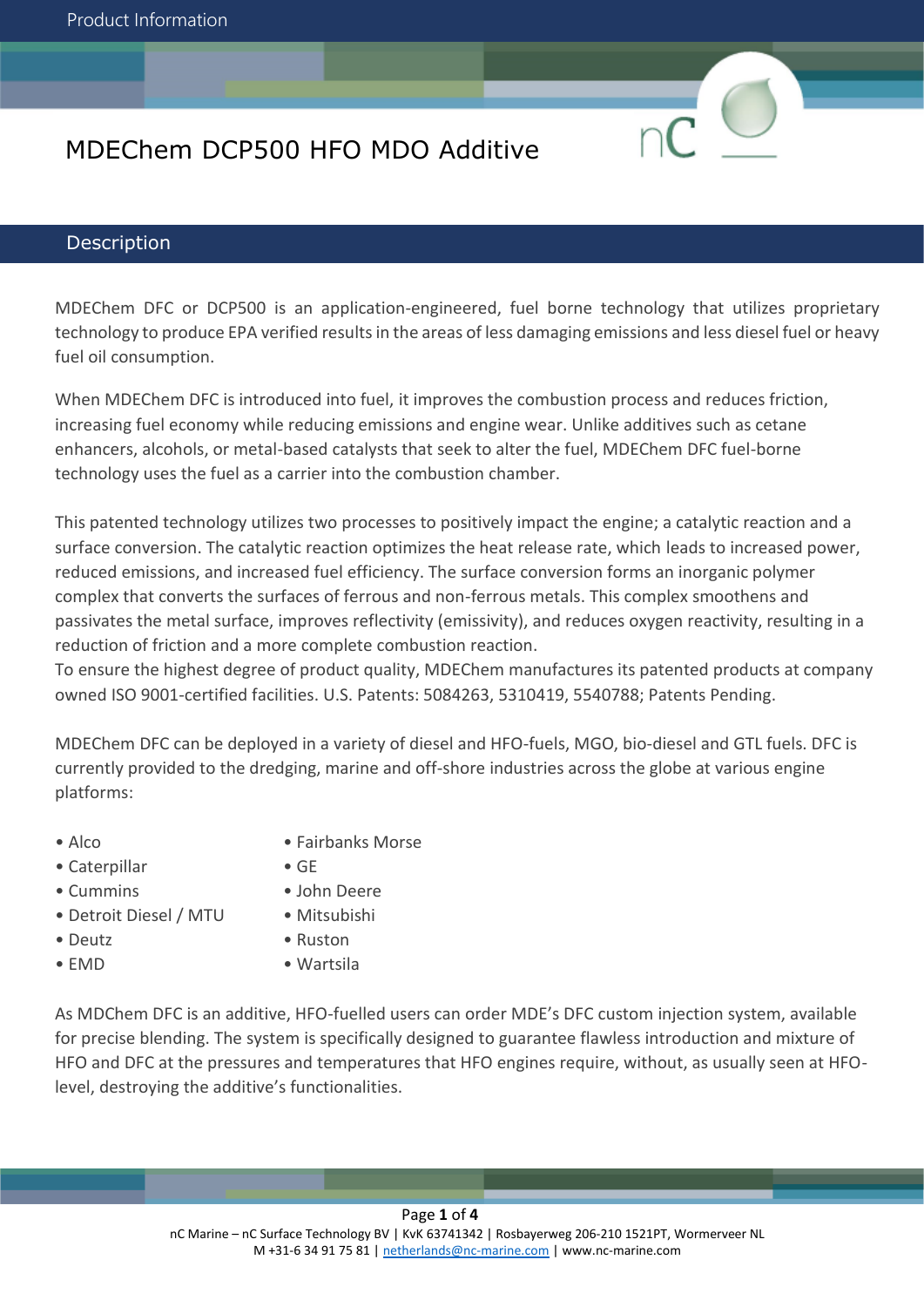### **Description**

MDEChem DFC or DCP500 is an application-engineered, fuel borne technology that utilizes proprietary technology to produce EPA verified results in the areas of less damaging emissions and less diesel fuel or heavy fuel oil consumption.

When MDEChem DFC is introduced into fuel, it improves the combustion process and reduces friction, increasing fuel economy while reducing emissions and engine wear. Unlike additives such as cetane enhancers, alcohols, or metal-based catalysts that seek to alter the fuel, MDEChem DFC fuel-borne technology uses the fuel as a carrier into the combustion chamber.

This patented technology utilizes two processes to positively impact the engine; a catalytic reaction and a surface conversion. The catalytic reaction optimizes the heat release rate, which leads to increased power, reduced emissions, and increased fuel efficiency. The surface conversion forms an inorganic polymer complex that converts the surfaces of ferrous and non-ferrous metals. This complex smoothens and passivates the metal surface, improves reflectivity (emissivity), and reduces oxygen reactivity, resulting in a reduction of friction and a more complete combustion reaction.

To ensure the highest degree of product quality, MDEChem manufactures its patented products at company owned ISO 9001-certified facilities. U.S. Patents: 5084263, 5310419, 5540788; Patents Pending.

MDEChem DFC can be deployed in a variety of diesel and HFO-fuels, MGO, bio-diesel and GTL fuels. DFC is currently provided to the dredging, marine and off-shore industries across the globe at various engine platforms:

- 
- Caterpillar GE
- Cummins John Deere
- Detroit Diesel / MTU Mitsubishi
- 
- 
- Alco Fairbanks Morse
	-
	-
	-
- Deutz Ruston
- EMD Wartsila

As MDChem DFC is an additive, HFO-fuelled users can order MDE's DFC custom injection system, available for precise blending. The system is specifically designed to guarantee flawless introduction and mixture of HFO and DFC at the pressures and temperatures that HFO engines require, without, as usually seen at HFOlevel, destroying the additive's functionalities.

> Page **1** of **4** nC Marine – nC Surface Technology BV | KvK 63741342 | Rosbayerweg 206-210 1521PT, Wormerveer NL M +31-6 34 91 75 81 | [netherlands@nc-marine.com](mailto:netherlands@nc-marine.com) | www.nc-marine.com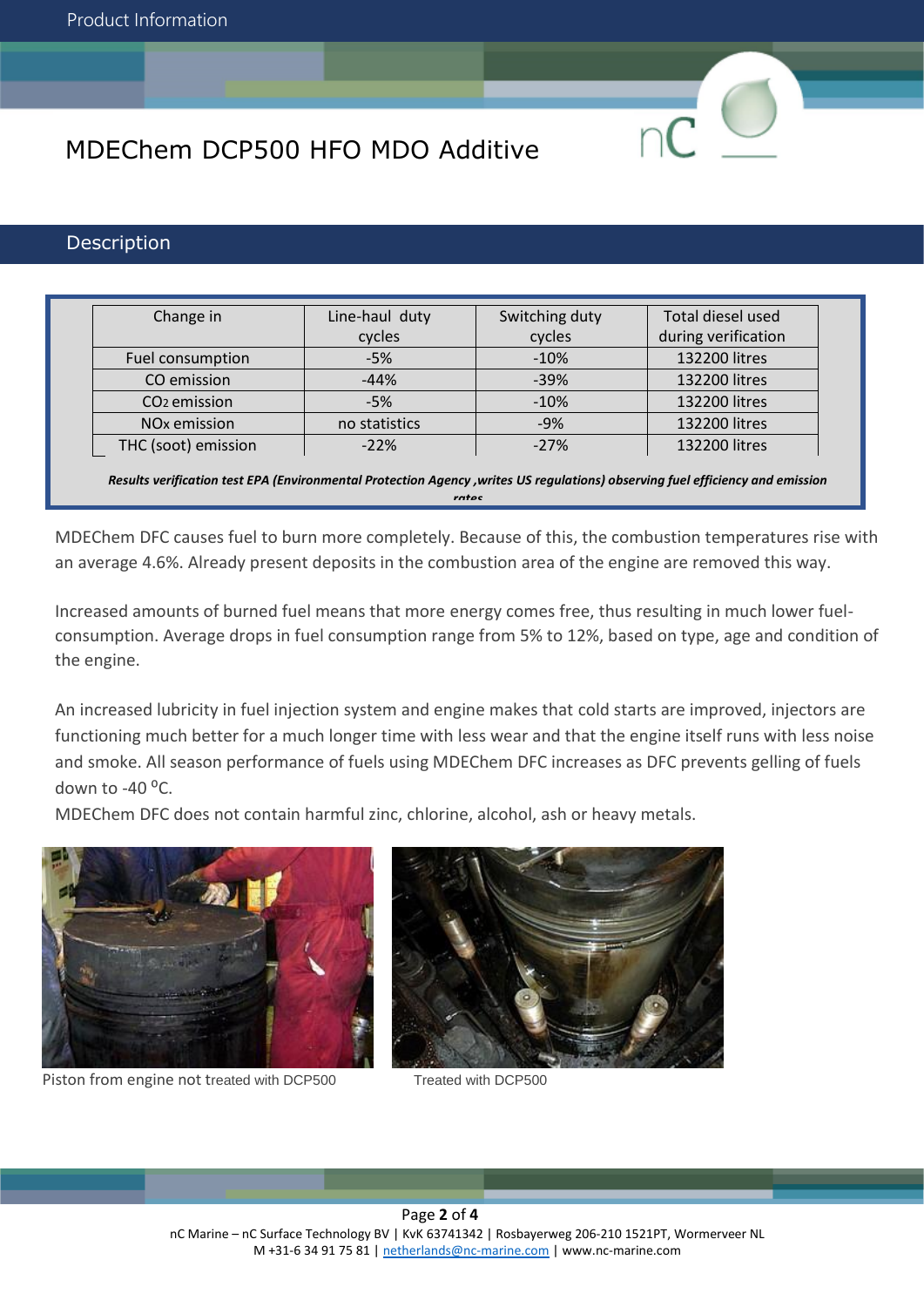### **Description**

| Change in                | Line-haul duty | Switching duty | Total diesel used   |
|--------------------------|----------------|----------------|---------------------|
|                          | cycles         | cycles         | during verification |
| Fuel consumption         | $-5%$          | $-10%$         | 132200 litres       |
| CO emission              | $-44%$         | $-39%$         | 132200 litres       |
| CO <sub>2</sub> emission | $-5%$          | $-10%$         | 132200 litres       |
| NO <sub>x</sub> emission | no statistics  | $-9%$          | 132200 litres       |
| THC (soot) emission      | $-22%$         | $-27%$         | 132200 litres       |

*Results verification test EPA (Environmental Protection Agency ,writes US regulations) observing fuel efficiency and emission rates*

MDEChem DFC causes fuel to burn more completely. Because of this, the combustion temperatures rise with an average 4.6%. Already present deposits in the combustion area of the engine are removed this way.

Increased amounts of burned fuel means that more energy comes free, thus resulting in much lower fuelconsumption. Average drops in fuel consumption range from 5% to 12%, based on type, age and condition of the engine.

An increased lubricity in fuel injection system and engine makes that cold starts are improved, injectors are functioning much better for a much longer time with less wear and that the engine itself runs with less noise and smoke. All season performance of fuels using MDEChem DFC increases as DFC prevents gelling of fuels down to -40 $\degree$ C.

MDEChem DFC does not contain harmful zinc, chlorine, alcohol, ash or heavy metals.



Piston from engine not treated with DCP500 Treated with DCP500



Page **2** of **4** nC Marine – nC Surface Technology BV | KvK 63741342 | Rosbayerweg 206-210 1521PT, Wormerveer NL M +31-6 34 91 75 81 | [netherlands@nc-marine.com](mailto:netherlands@nc-marine.com) | www.nc-marine.com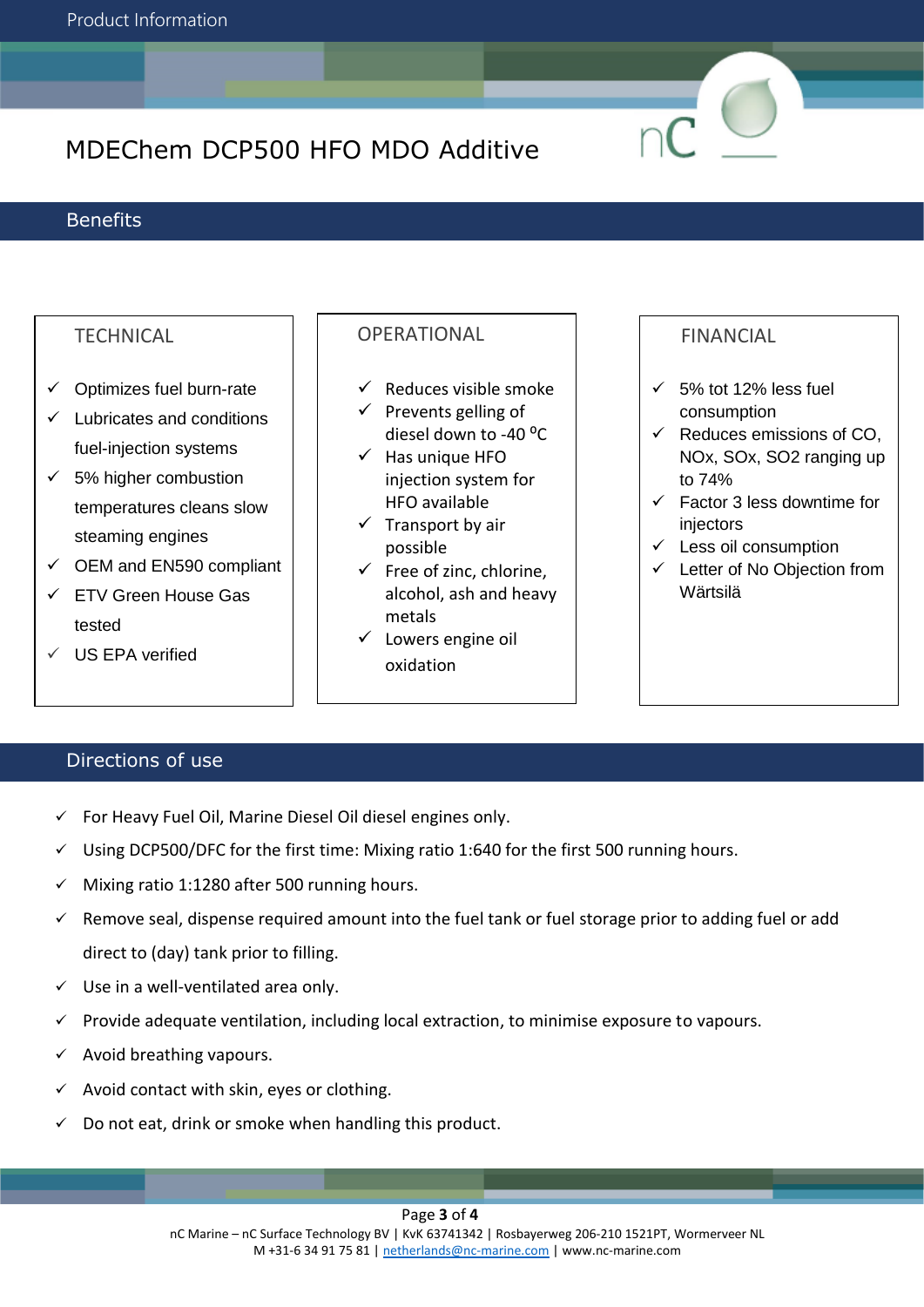### **Benefits**

# **TECHNICAL**

- $\checkmark$  Optimizes fuel burn-rate
- ✓ Lubricates and conditions fuel-injection systems
- $\checkmark$  5% higher combustion temperatures cleans slow steaming engines
- $\checkmark$  OEM and EN590 compliant
- ✓ ETV Green House Gas tested
- US EPA verified

# **OPERATIONAL**

- $\checkmark$  Reduces visible smoke
- $\checkmark$  Prevents gelling of diesel down to -40 °C
- $\checkmark$  Has unique HFO injection system for HFO available
- $\checkmark$  Transport by air possible
- $\checkmark$  Free of zinc, chlorine, alcohol, ash and heavy metals
- ✓ Lowers engine oil oxidation

## FINANCIAL

- $\checkmark$  5% tot 12% less fuel consumption
- $\checkmark$  Reduces emissions of CO. NOx, SOx, SO2 ranging up to 74%
- $\checkmark$  Factor 3 less downtime for injectors
- $\checkmark$  Less oil consumption
- ✓ Letter of No Objection from Wärtsilä

# Directions of use

- ✓ For Heavy Fuel Oil, Marine Diesel Oil diesel engines only.
- ✓ Using DCP500/DFC for the first time: Mixing ratio 1:640 for the first 500 running hours.
- ✓ Mixing ratio 1:1280 after 500 running hours.
- ✓ Remove seal, dispense required amount into the fuel tank or fuel storage prior to adding fuel or add direct to (day) tank prior to filling.
- $\checkmark$  Use in a well-ventilated area only.
- ✓ Provide adequate ventilation, including local extraction, to minimise exposure to vapours.
- $\checkmark$  Avoid breathing vapours.
- $\checkmark$  Avoid contact with skin, eyes or clothing.
- $\checkmark$  Do not eat, drink or smoke when handling this product.

#### Page **3** of **4**

nC Marine – nC Surface Technology BV | KvK 63741342 | Rosbayerweg 206-210 1521PT, Wormerveer NL M +31-6 34 91 75 81 | [netherlands@nc-marine.com](mailto:netherlands@nc-marine.com) | www.nc-marine.com